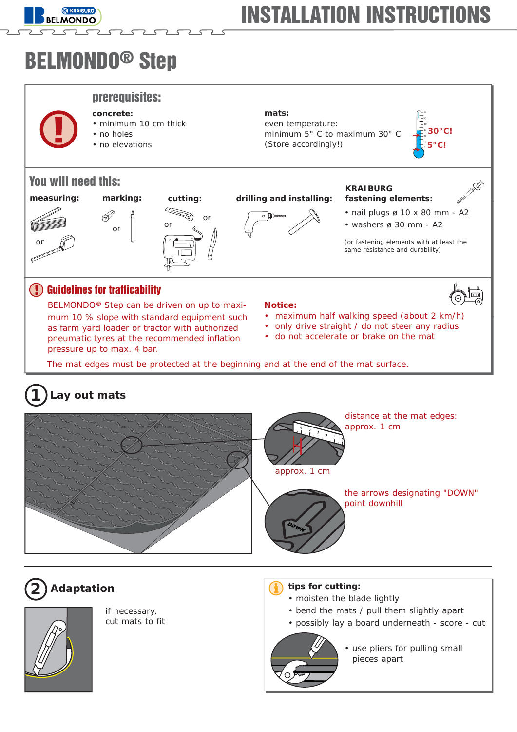

# BELMONDO® Step

**KRAIBURG MONDO** 

**concrete:**

prerequisites:

• no holes • no elevations

or



# You will need this:



# $\mathscr{D}$

• minimum 10 cm thick



### **measuring: marking: cutting: drilling and installing:**



**mats:**

even temperature:

(Store accordingly!)

minimum 5° C to maximum 30° C

### **KRAIBURG fastening elements:**

• nail plugs ø 10 x 80 mm - A2

10

**5°C! 30°C!**

 $\cdot$  washers ø 30 mm - A2

(or fastening elements with at least the same resistance and durability)

## **!** Guidelines for trafficability

BELMONDO**®** Step can be driven on up to maximum 10 % slope with standard equipment such as farm yard loader or tractor with authorized pneumatic tyres at the recommended inflation pressure up to max. 4 bar.

### **Notice:**

- maximum half walking speed (about 2 km/h)
- only drive straight / do not steer any radius
- do not accelerate or brake on the mat

The mat edges must be protected at the beginning and at the end of the mat surface.

#### **Lay out mats 1**





if necessary, cut mats to fit

## **2 Adaptation tips for cutting:**

- moisten the blade lightly
- bend the mats / pull them slightly apart
- possibly lay a board underneath score cut



• use pliers for pulling small pieces apart